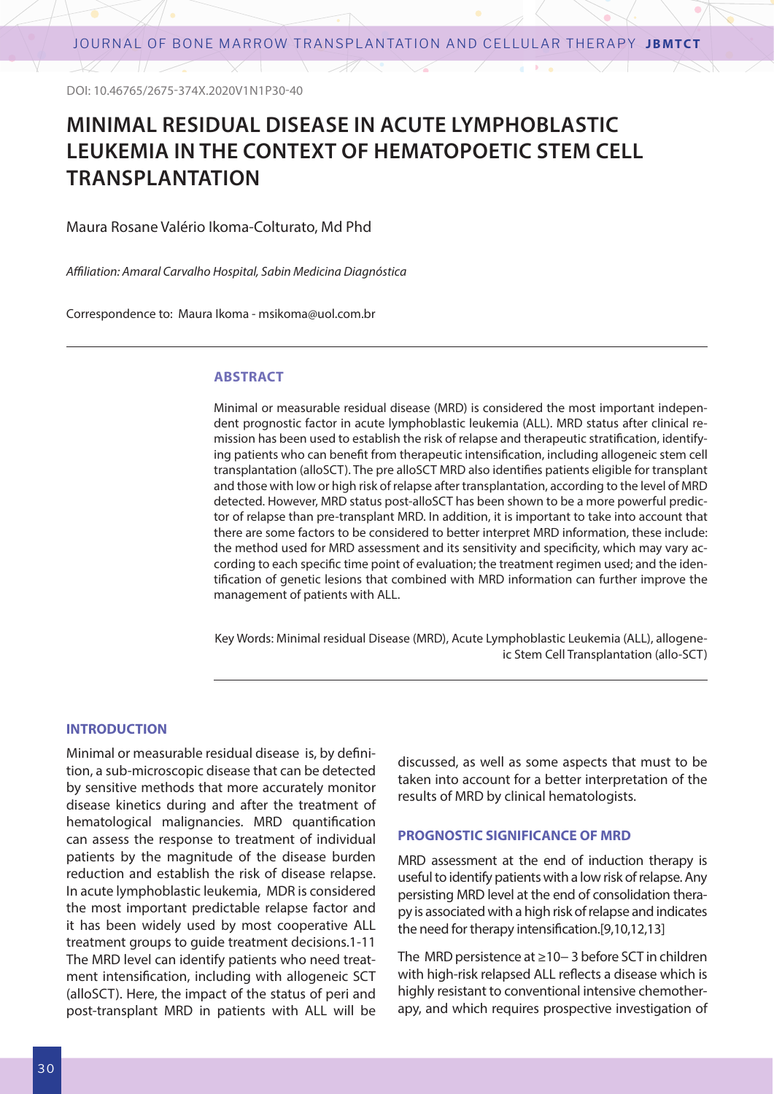DOI: 10.46765/2675-374X.2020V1N1P30-40

 $\times$  / 11

# **MINIMAL RESIDUAL DISEASE IN ACUTE LYMPHOBLASTIC LEUKEMIA IN THE CONTEXT OF HEMATOPOETIC STEM CELL TRANSPLANTATION**

Maura Rosane Valério Ikoma-Colturato, Md Phd

*Affiliation: Amaral Carvalho Hospital, Sabin Medicina Diagnóstica*

Correspondence to: Maura Ikoma - msikoma@uol.com.br

#### **ABSTRACT**

Minimal or measurable residual disease (MRD) is considered the most important independent prognostic factor in acute lymphoblastic leukemia (ALL). MRD status after clinical remission has been used to establish the risk of relapse and therapeutic stratification, identifying patients who can benefit from therapeutic intensification, including allogeneic stem cell transplantation (alloSCT). The pre alloSCT MRD also identifies patients eligible for transplant and those with low or high risk of relapse after transplantation, according to the level of MRD detected. However, MRD status post-alloSCT has been shown to be a more powerful predictor of relapse than pre-transplant MRD. In addition, it is important to take into account that there are some factors to be considered to better interpret MRD information, these include: the method used for MRD assessment and its sensitivity and specificity, which may vary according to each specific time point of evaluation; the treatment regimen used; and the identification of genetic lesions that combined with MRD information can further improve the management of patients with ALL.

Key Words: Minimal residual Disease (MRD), Acute Lymphoblastic Leukemia (ALL), allogeneic Stem Cell Transplantation (allo-SCT)

#### **INTRODUCTION**

Minimal or measurable residual disease is, by definition, a sub-microscopic disease that can be detected by sensitive methods that more accurately monitor disease kinetics during and after the treatment of hematological malignancies. MRD quantification can assess the response to treatment of individual patients by the magnitude of the disease burden reduction and establish the risk of disease relapse. In acute lymphoblastic leukemia, MDR is considered the most important predictable relapse factor and it has been widely used by most cooperative ALL treatment groups to guide treatment decisions.1-11 The MRD level can identify patients who need treatment intensification, including with allogeneic SCT (alloSCT). Here, the impact of the status of peri and post-transplant MRD in patients with ALL will be

discussed, as well as some aspects that must to be taken into account for a better interpretation of the results of MRD by clinical hematologists.

### **PROGNOSTIC SIGNIFICANCE OF MRD**

MRD assessment at the end of induction therapy is useful to identify patients with a low risk of relapse. Any persisting MRD level at the end of consolidation therapy is associated with a high risk of relapse and indicates the need for therapy intensification.[9,10,12,13]

The MRD persistence at ≥10− 3 before SCT in children with high-risk relapsed ALL reflects a disease which is highly resistant to conventional intensive chemotherapy, and which requires prospective investigation of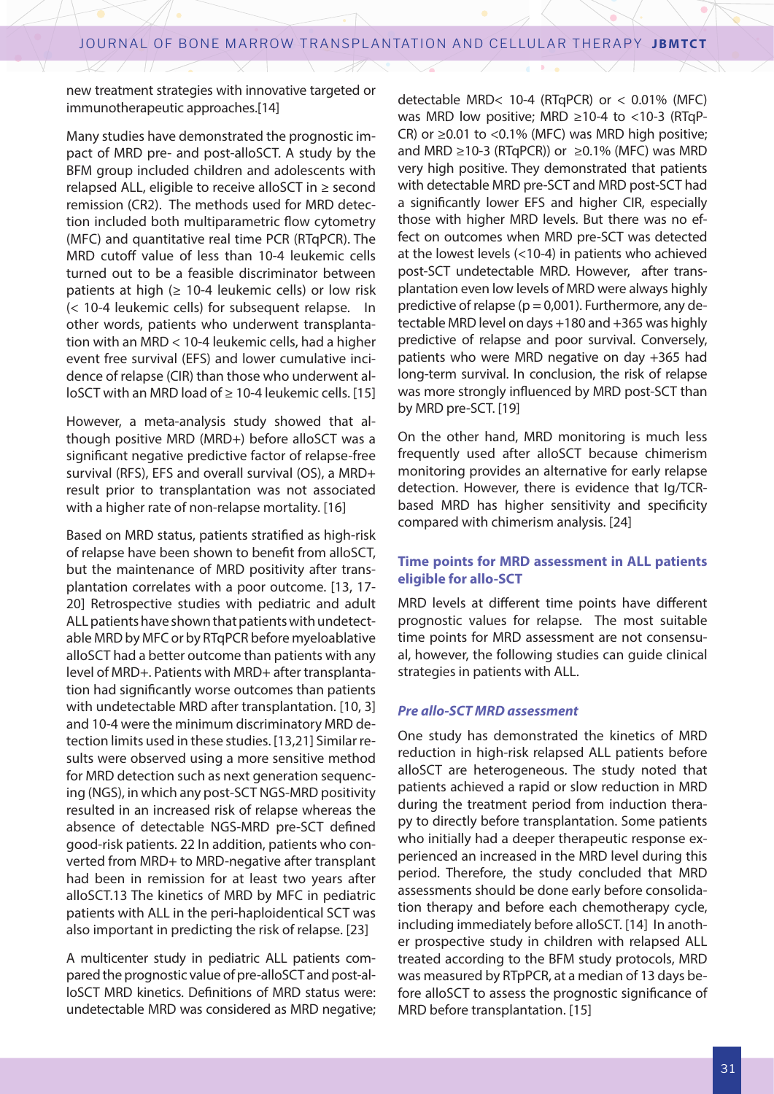new treatment strategies with innovative targeted or immunotherapeutic approaches.[14]

Many studies have demonstrated the prognostic impact of MRD pre- and post-alloSCT. A study by the BFM group included children and adolescents with relapsed ALL, eligible to receive alloSCT in ≥ second remission (CR2). The methods used for MRD detection included both multiparametric flow cytometry (MFC) and quantitative real time PCR (RTqPCR). The MRD cutoff value of less than 10-4 leukemic cells turned out to be a feasible discriminator between patients at high ( $\geq 10$ -4 leukemic cells) or low risk (< 10-4 leukemic cells) for subsequent relapse. In other words, patients who underwent transplantation with an MRD < 10-4 leukemic cells, had a higher event free survival (EFS) and lower cumulative incidence of relapse (CIR) than those who underwent alloSCT with an MRD load of ≥ 10-4 leukemic cells. [15]

However, a meta-analysis study showed that although positive MRD (MRD+) before alloSCT was a significant negative predictive factor of relapse-free survival (RFS), EFS and overall survival (OS), a MRD+ result prior to transplantation was not associated with a higher rate of non-relapse mortality. [16]

Based on MRD status, patients stratified as high-risk of relapse have been shown to benefit from alloSCT, but the maintenance of MRD positivity after transplantation correlates with a poor outcome. [13, 17- 20] Retrospective studies with pediatric and adult ALL patients have shown that patients with undetectable MRD by MFC or by RTqPCR before myeloablative alloSCT had a better outcome than patients with any level of MRD+. Patients with MRD+ after transplantation had significantly worse outcomes than patients with undetectable MRD after transplantation. [10, 3] and 10-4 were the minimum discriminatory MRD detection limits used in these studies. [13,21] Similar results were observed using a more sensitive method for MRD detection such as next generation sequencing (NGS), in which any post-SCT NGS-MRD positivity resulted in an increased risk of relapse whereas the absence of detectable NGS-MRD pre-SCT defined good-risk patients. 22 In addition, patients who converted from MRD+ to MRD-negative after transplant had been in remission for at least two years after alloSCT.13 The kinetics of MRD by MFC in pediatric patients with ALL in the peri-haploidentical SCT was also important in predicting the risk of relapse. [23]

A multicenter study in pediatric ALL patients compared the prognostic value of pre-alloSCT and post-alloSCT MRD kinetics. Definitions of MRD status were: undetectable MRD was considered as MRD negative;

detectable MRD< 10-4 (RTqPCR) or < 0.01% (MFC) was MRD low positive; MRD ≥10-4 to <10-3 (RTqP-CR) or  $\geq$  0.01 to <0.1% (MFC) was MRD high positive; and MRD ≥10-3 (RTqPCR)) or  $≥0.1%$  (MFC) was MRD very high positive. They demonstrated that patients with detectable MRD pre-SCT and MRD post-SCT had a significantly lower EFS and higher CIR, especially those with higher MRD levels. But there was no effect on outcomes when MRD pre-SCT was detected at the lowest levels (<10-4) in patients who achieved post-SCT undetectable MRD. However, after transplantation even low levels of MRD were always highly predictive of relapse ( $p = 0.001$ ). Furthermore, any detectable MRD level on days +180 and +365 was highly predictive of relapse and poor survival. Conversely, patients who were MRD negative on day +365 had long-term survival. In conclusion, the risk of relapse was more strongly influenced by MRD post-SCT than by MRD pre-SCT. [19]

On the other hand, MRD monitoring is much less frequently used after alloSCT because chimerism monitoring provides an alternative for early relapse detection. However, there is evidence that Ig/TCRbased MRD has higher sensitivity and specificity compared with chimerism analysis. [24]

## **Time points for MRD assessment in ALL patients eligible for allo-SCT**

MRD levels at different time points have different prognostic values for relapse. The most suitable time points for MRD assessment are not consensual, however, the following studies can guide clinical strategies in patients with ALL.

## *Pre allo-SCT MRD assessment*

One study has demonstrated the kinetics of MRD reduction in high-risk relapsed ALL patients before alloSCT are heterogeneous. The study noted that patients achieved a rapid or slow reduction in MRD during the treatment period from induction therapy to directly before transplantation. Some patients who initially had a deeper therapeutic response experienced an increased in the MRD level during this period. Therefore, the study concluded that MRD assessments should be done early before consolidation therapy and before each chemotherapy cycle, including immediately before alloSCT. [14] In another prospective study in children with relapsed ALL treated according to the BFM study protocols, MRD was measured by RTpPCR, at a median of 13 days before alloSCT to assess the prognostic significance of MRD before transplantation. [15]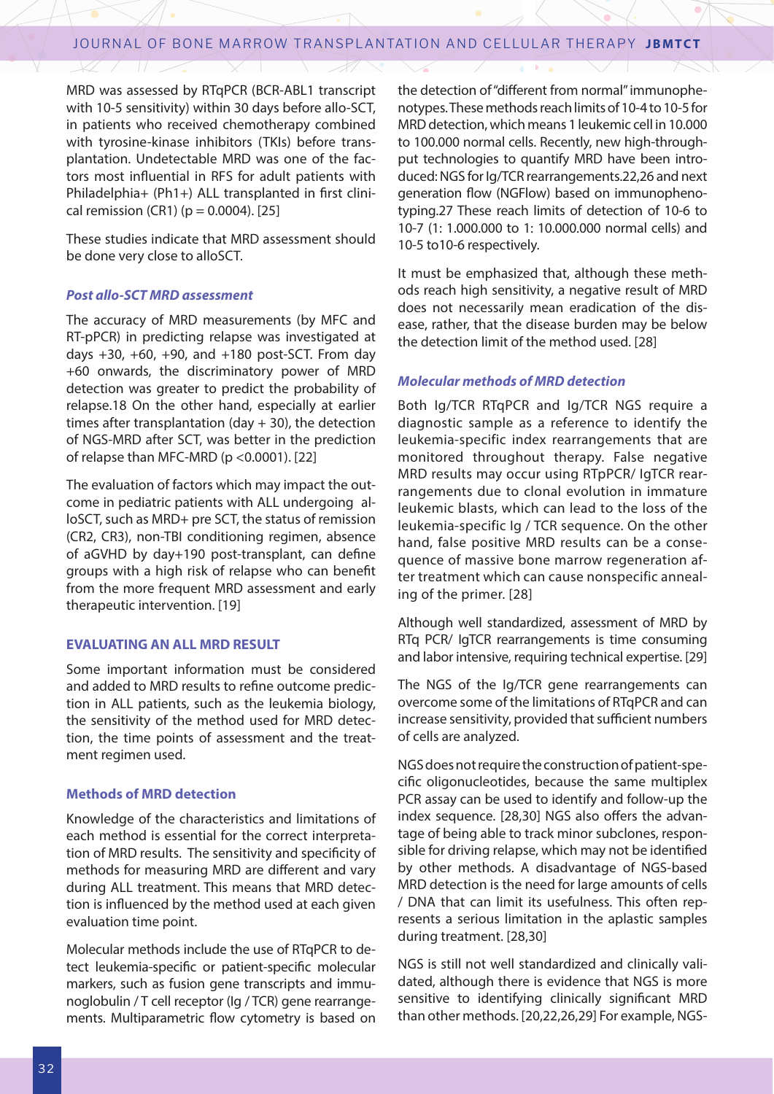MRD was assessed by RTqPCR (BCR-ABL1 transcript with 10-5 sensitivity) within 30 days before allo-SCT, in patients who received chemotherapy combined with tyrosine-kinase inhibitors (TKIs) before transplantation. Undetectable MRD was one of the factors most influential in RFS for adult patients with Philadelphia+ (Ph1+) ALL transplanted in first clinical remission (CR1) ( $p = 0.0004$ ). [25]

These studies indicate that MRD assessment should be done very close to alloSCT.

#### *Post allo-SCT MRD assessment*

The accuracy of MRD measurements (by MFC and RT-pPCR) in predicting relapse was investigated at days  $+30$ ,  $+60$ ,  $+90$ , and  $+180$  post-SCT. From day +60 onwards, the discriminatory power of MRD detection was greater to predict the probability of relapse.18 On the other hand, especially at earlier times after transplantation (day  $+$  30), the detection of NGS-MRD after SCT, was better in the prediction of relapse than MFC-MRD ( $p < 0.0001$ ). [22]

The evaluation of factors which may impact the outcome in pediatric patients with ALL undergoing alloSCT, such as MRD+ pre SCT, the status of remission (CR2, CR3), non-TBI conditioning regimen, absence of aGVHD by day+190 post-transplant, can define groups with a high risk of relapse who can benefit from the more frequent MRD assessment and early therapeutic intervention. [19]

#### **EVALUATING AN ALL MRD RESULT**

Some important information must be considered and added to MRD results to refine outcome prediction in ALL patients, such as the leukemia biology, the sensitivity of the method used for MRD detection, the time points of assessment and the treatment regimen used.

#### **Methods of MRD detection**

Knowledge of the characteristics and limitations of each method is essential for the correct interpretation of MRD results. The sensitivity and specificity of methods for measuring MRD are different and vary during ALL treatment. This means that MRD detection is influenced by the method used at each given evaluation time point.

Molecular methods include the use of RTqPCR to detect leukemia-specific or patient-specific molecular markers, such as fusion gene transcripts and immunoglobulin / T cell receptor (Ig / TCR) gene rearrangements. Multiparametric flow cytometry is based on

the detection of "different from normal" immunophenotypes. These methods reach limits of 10-4 to 10-5 for MRD detection, which means 1 leukemic cell in 10.000 to 100.000 normal cells. Recently, new high-throughput technologies to quantify MRD have been introduced: NGS for Ig/TCR rearrangements.22,26 and next generation flow (NGFlow) based on immunophenotyping.27 These reach limits of detection of 10-6 to 10-7 (1: 1.000.000 to 1: 10.000.000 normal cells) and 10-5 to10-6 respectively.

It must be emphasized that, although these methods reach high sensitivity, a negative result of MRD does not necessarily mean eradication of the disease, rather, that the disease burden may be below the detection limit of the method used. [28]

## *Molecular methods of MRD detection*

Both Ig/TCR RTqPCR and Ig/TCR NGS require a diagnostic sample as a reference to identify the leukemia-specific index rearrangements that are monitored throughout therapy. False negative MRD results may occur using RTpPCR/ IgTCR rearrangements due to clonal evolution in immature leukemic blasts, which can lead to the loss of the leukemia-specific Ig / TCR sequence. On the other hand, false positive MRD results can be a consequence of massive bone marrow regeneration after treatment which can cause nonspecific annealing of the primer. [28]

Although well standardized, assessment of MRD by RTq PCR/ IgTCR rearrangements is time consuming and labor intensive, requiring technical expertise. [29]

The NGS of the Ig/TCR gene rearrangements can overcome some of the limitations of RTqPCR and can increase sensitivity, provided that sufficient numbers of cells are analyzed.

NGS does not require the construction of patient-specific oligonucleotides, because the same multiplex PCR assay can be used to identify and follow-up the index sequence. [28,30] NGS also offers the advantage of being able to track minor subclones, responsible for driving relapse, which may not be identified by other methods. A disadvantage of NGS-based MRD detection is the need for large amounts of cells / DNA that can limit its usefulness. This often represents a serious limitation in the aplastic samples during treatment. [28,30]

NGS is still not well standardized and clinically validated, although there is evidence that NGS is more sensitive to identifying clinically significant MRD than other methods. [20,22,26,29] For example, NGS-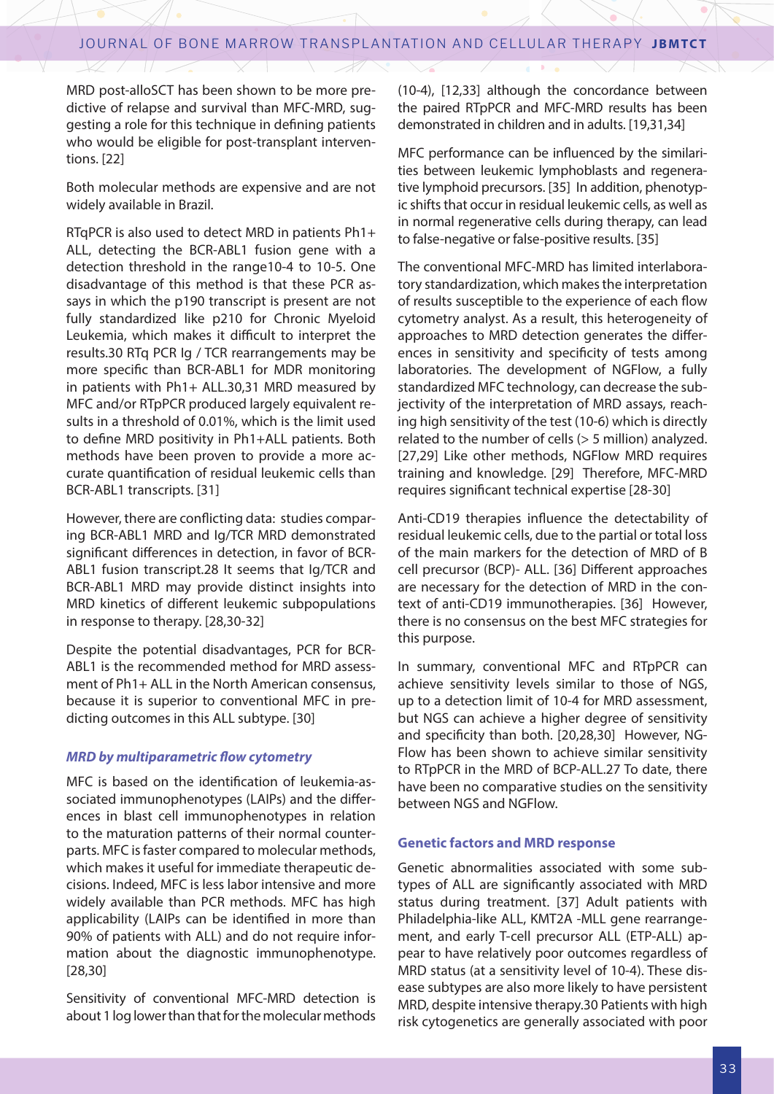MRD post-alloSCT has been shown to be more predictive of relapse and survival than MFC-MRD, suggesting a role for this technique in defining patients who would be eligible for post-transplant interventions. [22]

Both molecular methods are expensive and are not widely available in Brazil.

RTqPCR is also used to detect MRD in patients Ph1+ ALL, detecting the BCR-ABL1 fusion gene with a detection threshold in the range10-4 to 10-5. One disadvantage of this method is that these PCR assays in which the p190 transcript is present are not fully standardized like p210 for Chronic Myeloid Leukemia, which makes it difficult to interpret the results.30 RTq PCR Ig / TCR rearrangements may be more specific than BCR-ABL1 for MDR monitoring in patients with Ph1+ ALL.30,31 MRD measured by MFC and/or RTpPCR produced largely equivalent results in a threshold of 0.01%, which is the limit used to define MRD positivity in Ph1+ALL patients. Both methods have been proven to provide a more accurate quantification of residual leukemic cells than BCR-ABL1 transcripts. [31]

However, there are conflicting data: studies comparing BCR-ABL1 MRD and Ig/TCR MRD demonstrated significant differences in detection, in favor of BCR-ABL1 fusion transcript.28 It seems that Ig/TCR and BCR-ABL1 MRD may provide distinct insights into MRD kinetics of different leukemic subpopulations in response to therapy. [28,30-32]

Despite the potential disadvantages, PCR for BCR-ABL1 is the recommended method for MRD assessment of Ph1+ ALL in the North American consensus, because it is superior to conventional MFC in predicting outcomes in this ALL subtype. [30]

## *MRD by multiparametric flow cytometry*

MFC is based on the identification of leukemia-associated immunophenotypes (LAIPs) and the differences in blast cell immunophenotypes in relation to the maturation patterns of their normal counterparts. MFC is faster compared to molecular methods, which makes it useful for immediate therapeutic decisions. Indeed, MFC is less labor intensive and more widely available than PCR methods. MFC has high applicability (LAIPs can be identified in more than 90% of patients with ALL) and do not require information about the diagnostic immunophenotype. [28,30]

Sensitivity of conventional MFC-MRD detection is about 1 log lower than that for the molecular methods (10-4), [12,33] although the concordance between the paired RTpPCR and MFC-MRD results has been demonstrated in children and in adults. [19,31,34]

MFC performance can be influenced by the similarities between leukemic lymphoblasts and regenerative lymphoid precursors. [35] In addition, phenotypic shifts that occur in residual leukemic cells, as well as in normal regenerative cells during therapy, can lead to false-negative or false-positive results. [35]

The conventional MFC-MRD has limited interlaboratory standardization, which makes the interpretation of results susceptible to the experience of each flow cytometry analyst. As a result, this heterogeneity of approaches to MRD detection generates the differences in sensitivity and specificity of tests among laboratories. The development of NGFlow, a fully standardized MFC technology, can decrease the subjectivity of the interpretation of MRD assays, reaching high sensitivity of the test (10-6) which is directly related to the number of cells (> 5 million) analyzed. [27,29] Like other methods, NGFlow MRD requires training and knowledge. [29] Therefore, MFC-MRD requires significant technical expertise [28-30]

Anti-CD19 therapies influence the detectability of residual leukemic cells, due to the partial or total loss of the main markers for the detection of MRD of B cell precursor (BCP)- ALL. [36] Different approaches are necessary for the detection of MRD in the context of anti-CD19 immunotherapies. [36] However, there is no consensus on the best MFC strategies for this purpose.

In summary, conventional MFC and RTpPCR can achieve sensitivity levels similar to those of NGS, up to a detection limit of 10-4 for MRD assessment, but NGS can achieve a higher degree of sensitivity and specificity than both. [20,28,30] However, NG-Flow has been shown to achieve similar sensitivity to RTpPCR in the MRD of BCP-ALL.27 To date, there have been no comparative studies on the sensitivity between NGS and NGFlow.

#### **Genetic factors and MRD response**

Genetic abnormalities associated with some subtypes of ALL are significantly associated with MRD status during treatment. [37] Adult patients with Philadelphia-like ALL, KMT2A -MLL gene rearrangement, and early T-cell precursor ALL (ETP-ALL) appear to have relatively poor outcomes regardless of MRD status (at a sensitivity level of 10-4). These disease subtypes are also more likely to have persistent MRD, despite intensive therapy.30 Patients with high risk cytogenetics are generally associated with poor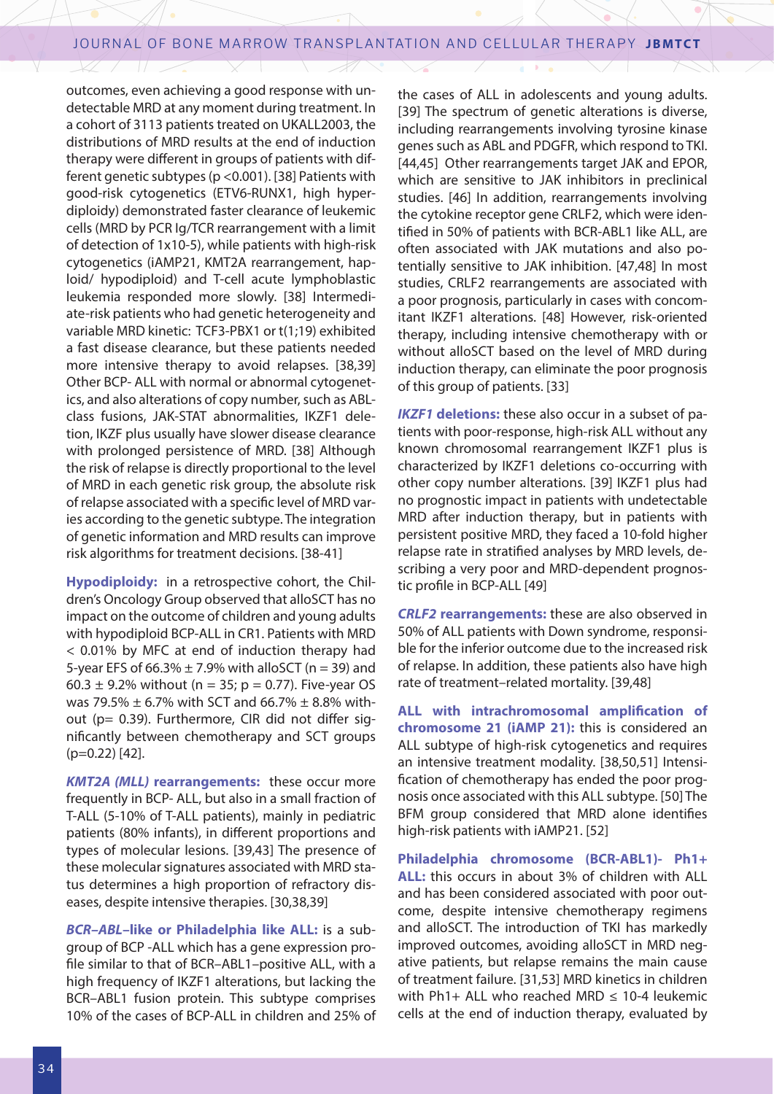outcomes, even achieving a good response with undetectable MRD at any moment during treatment. In a cohort of 3113 patients treated on UKALL2003, the distributions of MRD results at the end of induction therapy were different in groups of patients with different genetic subtypes (p <0.001). [38] Patients with good-risk cytogenetics (ETV6-RUNX1, high hyperdiploidy) demonstrated faster clearance of leukemic cells (MRD by PCR Ig/TCR rearrangement with a limit of detection of 1x10-5), while patients with high-risk cytogenetics (iAMP21, KMT2A rearrangement, haploid/ hypodiploid) and T-cell acute lymphoblastic leukemia responded more slowly. [38] Intermediate-risk patients who had genetic heterogeneity and variable MRD kinetic: TCF3-PBX1 or t(1;19) exhibited a fast disease clearance, but these patients needed more intensive therapy to avoid relapses. [38,39] Other BCP- ALL with normal or abnormal cytogenetics, and also alterations of copy number, such as ABLclass fusions, JAK-STAT abnormalities, IKZF1 deletion, IKZF plus usually have slower disease clearance with prolonged persistence of MRD. [38] Although the risk of relapse is directly proportional to the level of MRD in each genetic risk group, the absolute risk of relapse associated with a specific level of MRD varies according to the genetic subtype. The integration of genetic information and MRD results can improve risk algorithms for treatment decisions. [38-41]

**Hypodiploidy:** in a retrospective cohort, the Children's Oncology Group observed that alloSCT has no impact on the outcome of children and young adults with hypodiploid BCP-ALL in CR1. Patients with MRD < 0.01% by MFC at end of induction therapy had 5-year EFS of  $66.3\% \pm 7.9\%$  with alloSCT (n = 39) and 60.3  $\pm$  9.2% without (n = 35; p = 0.77). Five-year OS was 79.5%  $\pm$  6.7% with SCT and 66.7%  $\pm$  8.8% without (p= 0.39). Furthermore, CIR did not differ significantly between chemotherapy and SCT groups (p=0.22) [42].

*KMT2A (MLL)* **rearrangements:** these occur more frequently in BCP- ALL, but also in a small fraction of T-ALL (5-10% of T-ALL patients), mainly in pediatric patients (80% infants), in different proportions and types of molecular lesions. [39,43] The presence of these molecular signatures associated with MRD status determines a high proportion of refractory diseases, despite intensive therapies. [30,38,39]

*BCR–ABL***–like or Philadelphia like ALL:** is a subgroup of BCP -ALL which has a gene expression profile similar to that of BCR–ABL1–positive ALL, with a high frequency of IKZF1 alterations, but lacking the BCR–ABL1 fusion protein. This subtype comprises 10% of the cases of BCP-ALL in children and 25% of

the cases of ALL in adolescents and young adults. [39] The spectrum of genetic alterations is diverse, including rearrangements involving tyrosine kinase genes such as ABL and PDGFR, which respond to TKI. [44,45] Other rearrangements target JAK and EPOR, which are sensitive to JAK inhibitors in preclinical studies. [46] In addition, rearrangements involving the cytokine receptor gene CRLF2, which were identified in 50% of patients with BCR-ABL1 like ALL, are often associated with JAK mutations and also potentially sensitive to JAK inhibition. [47,48] In most studies, CRLF2 rearrangements are associated with a poor prognosis, particularly in cases with concomitant IKZF1 alterations. [48] However, risk-oriented therapy, including intensive chemotherapy with or without alloSCT based on the level of MRD during induction therapy, can eliminate the poor prognosis of this group of patients. [33]

**IKZF1 deletions:** these also occur in a subset of patients with poor-response, high-risk ALL without any known chromosomal rearrangement IKZF1 plus is characterized by IKZF1 deletions co-occurring with other copy number alterations. [39] IKZF1 plus had no prognostic impact in patients with undetectable MRD after induction therapy, but in patients with persistent positive MRD, they faced a 10-fold higher relapse rate in stratified analyses by MRD levels, describing a very poor and MRD-dependent prognostic profile in BCP-ALL [49]

*CRLF2* **rearrangements:** these are also observed in 50% of ALL patients with Down syndrome, responsible for the inferior outcome due to the increased risk of relapse. In addition, these patients also have high rate of treatment–related mortality. [39,48]

**ALL with intrachromosomal amplification of chromosome 21 (iAMP 21):** this is considered an ALL subtype of high-risk cytogenetics and requires an intensive treatment modality. [38,50,51] Intensification of chemotherapy has ended the poor prognosis once associated with this ALL subtype. [50] The BFM group considered that MRD alone identifies high-risk patients with iAMP21. [52]

**Philadelphia chromosome (BCR-ABL1)- Ph1+ ALL:** this occurs in about 3% of children with ALL and has been considered associated with poor outcome, despite intensive chemotherapy regimens and alloSCT. The introduction of TKI has markedly improved outcomes, avoiding alloSCT in MRD negative patients, but relapse remains the main cause of treatment failure. [31,53] MRD kinetics in children with Ph1+ ALL who reached MRD  $\leq$  10-4 leukemic cells at the end of induction therapy, evaluated by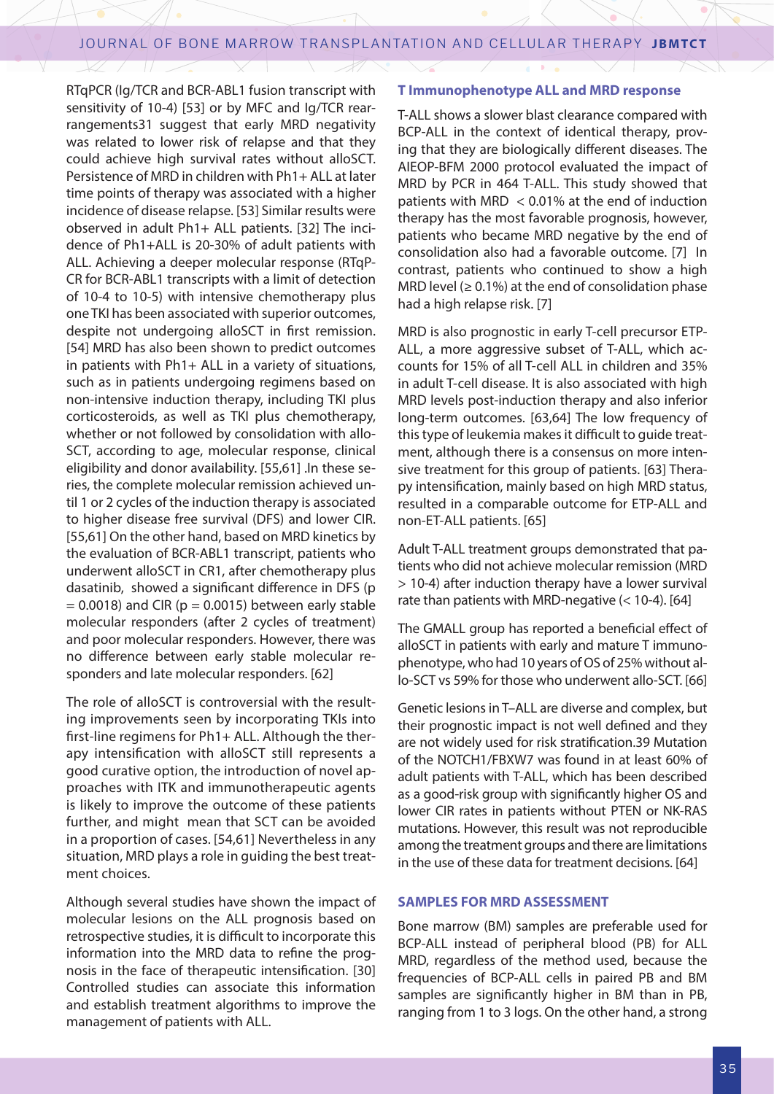RTqPCR (Ig/TCR and BCR-ABL1 fusion transcript with sensitivity of 10-4) [53] or by MFC and Ig/TCR rearrangements31 suggest that early MRD negativity was related to lower risk of relapse and that they could achieve high survival rates without alloSCT. Persistence of MRD in children with Ph1+ ALL at later time points of therapy was associated with a higher incidence of disease relapse. [53] Similar results were observed in adult Ph1+ ALL patients. [32] The incidence of Ph1+ALL is 20-30% of adult patients with ALL. Achieving a deeper molecular response (RTqP-CR for BCR-ABL1 transcripts with a limit of detection of 10-4 to 10-5) with intensive chemotherapy plus one TKI has been associated with superior outcomes, despite not undergoing alloSCT in first remission. [54] MRD has also been shown to predict outcomes in patients with Ph1+ ALL in a variety of situations, such as in patients undergoing regimens based on non-intensive induction therapy, including TKI plus corticosteroids, as well as TKI plus chemotherapy, whether or not followed by consolidation with allo-SCT, according to age, molecular response, clinical eligibility and donor availability. [55,61] .In these series, the complete molecular remission achieved until 1 or 2 cycles of the induction therapy is associated to higher disease free survival (DFS) and lower CIR. [55,61] On the other hand, based on MRD kinetics by the evaluation of BCR-ABL1 transcript, patients who underwent alloSCT in CR1, after chemotherapy plus dasatinib, showed a significant difference in DFS (p  $= 0.0018$ ) and CIR ( $p = 0.0015$ ) between early stable molecular responders (after 2 cycles of treatment) and poor molecular responders. However, there was no difference between early stable molecular responders and late molecular responders. [62]

The role of alloSCT is controversial with the resulting improvements seen by incorporating TKIs into first-line regimens for Ph1+ ALL. Although the therapy intensification with alloSCT still represents a good curative option, the introduction of novel approaches with ITK and immunotherapeutic agents is likely to improve the outcome of these patients further, and might mean that SCT can be avoided in a proportion of cases. [54,61] Nevertheless in any situation, MRD plays a role in guiding the best treatment choices.

Although several studies have shown the impact of molecular lesions on the ALL prognosis based on retrospective studies, it is difficult to incorporate this information into the MRD data to refine the prognosis in the face of therapeutic intensification. [30] Controlled studies can associate this information and establish treatment algorithms to improve the management of patients with ALL.

#### **T Immunophenotype ALL and MRD response**

T-ALL shows a slower blast clearance compared with BCP-ALL in the context of identical therapy, proving that they are biologically different diseases. The AIEOP-BFM 2000 protocol evaluated the impact of MRD by PCR in 464 T-ALL. This study showed that patients with MRD < 0.01% at the end of induction therapy has the most favorable prognosis, however, patients who became MRD negative by the end of consolidation also had a favorable outcome. [7] In contrast, patients who continued to show a high MRD level ( $\geq$  0.1%) at the end of consolidation phase had a high relapse risk. [7]

MRD is also prognostic in early T-cell precursor ETP-ALL, a more aggressive subset of T-ALL, which accounts for 15% of all T-cell ALL in children and 35% in adult T-cell disease. It is also associated with high MRD levels post-induction therapy and also inferior long-term outcomes. [63,64] The low frequency of this type of leukemia makes it difficult to guide treatment, although there is a consensus on more intensive treatment for this group of patients. [63] Therapy intensification, mainly based on high MRD status, resulted in a comparable outcome for ETP-ALL and non-ET-ALL patients. [65]

Adult T-ALL treatment groups demonstrated that patients who did not achieve molecular remission (MRD > 10-4) after induction therapy have a lower survival rate than patients with MRD-negative  $(< 10-4)$ . [64]

The GMALL group has reported a beneficial effect of alloSCT in patients with early and mature T immunophenotype, who had 10 years of OS of 25% without allo-SCT vs 59% for those who underwent allo-SCT. [66]

Genetic lesions in T–ALL are diverse and complex, but their prognostic impact is not well defined and they are not widely used for risk stratification.39 Mutation of the NOTCH1/FBXW7 was found in at least 60% of adult patients with T-ALL, which has been described as a good-risk group with significantly higher OS and lower CIR rates in patients without PTEN or NK-RAS mutations. However, this result was not reproducible among the treatment groups and there are limitations in the use of these data for treatment decisions. [64]

## **SAMPLES FOR MRD ASSESSMENT**

Bone marrow (BM) samples are preferable used for BCP-ALL instead of peripheral blood (PB) for ALL MRD, regardless of the method used, because the frequencies of BCP-ALL cells in paired PB and BM samples are significantly higher in BM than in PB, ranging from 1 to 3 logs. On the other hand, a strong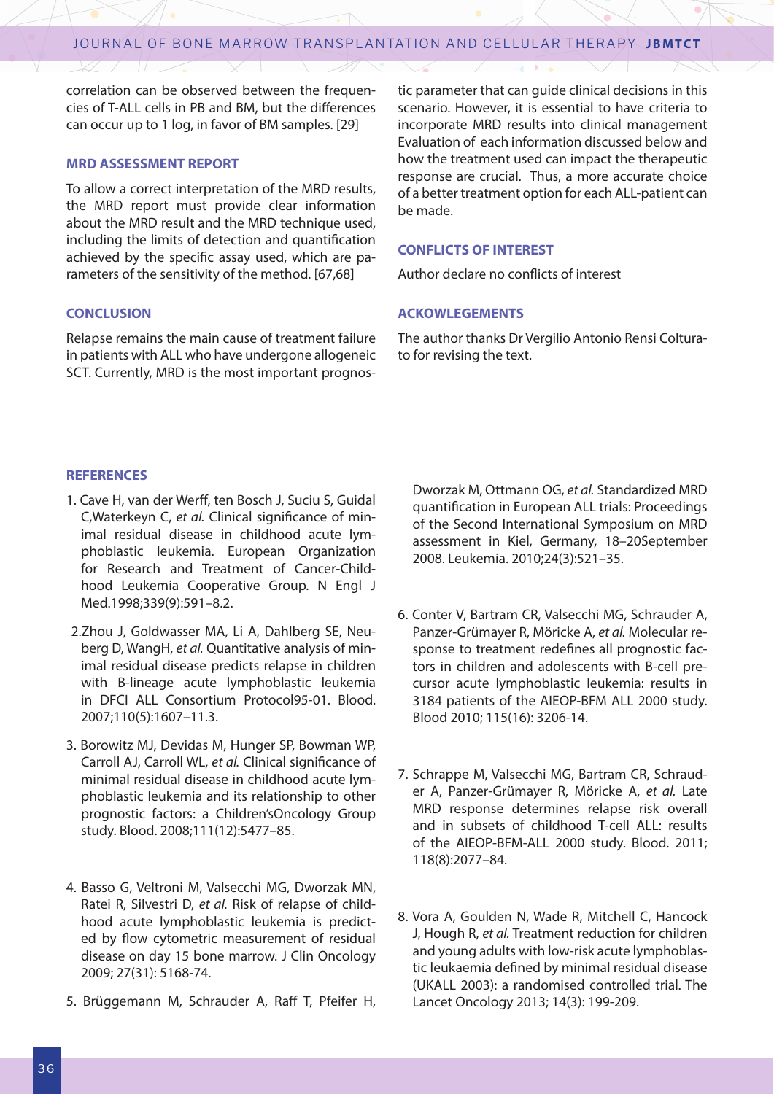correlation can be observed between the frequencies of T-ALL cells in PB and BM, but the differences can occur up to 1 log, in favor of BM samples. [29]

#### **MRD ASSESSMENT REPORT**

To allow a correct interpretation of the MRD results, the MRD report must provide clear information about the MRD result and the MRD technique used, including the limits of detection and quantification achieved by the specific assay used, which are parameters of the sensitivity of the method. [67,68]

#### **CONCLUSION**

Relapse remains the main cause of treatment failure in patients with ALL who have undergone allogeneic SCT. Currently, MRD is the most important prognos-

tic parameter that can guide clinical decisions in this scenario. However, it is essential to have criteria to incorporate MRD results into clinical management Evaluation of each information discussed below and how the treatment used can impact the therapeutic response are crucial. Thus, a more accurate choice of a better treatment option for each ALL-patient can be made.

#### **CONFLICTS OF INTEREST**

Author declare no conflicts of interest

#### **ACKOWLEGEMENTS**

The author thanks Dr Vergilio Antonio Rensi Colturato for revising the text.

#### **REFERENCES**

- 1. Cave H, van der Werff, ten Bosch J, Suciu S, Guidal C,Waterkeyn C, *et al.* Clinical significance of minimal residual disease in childhood acute lymphoblastic leukemia. European Organization for Research and Treatment of Cancer-Childhood Leukemia Cooperative Group. N Engl J Med.1998;339(9):591–8.2.
- 2.Zhou J, Goldwasser MA, Li A, Dahlberg SE, Neuberg D, WangH, *et al.* Quantitative analysis of minimal residual disease predicts relapse in children with B-lineage acute lymphoblastic leukemia in DFCI ALL Consortium Protocol95-01. Blood. 2007;110(5):1607–11.3.
- 3. Borowitz MJ, Devidas M, Hunger SP, Bowman WP, Carroll AJ, Carroll WL, *et al.* Clinical significance of minimal residual disease in childhood acute lymphoblastic leukemia and its relationship to other prognostic factors: a Children'sOncology Group study. Blood. 2008;111(12):5477–85.
- 4. Basso G, Veltroni M, Valsecchi MG, Dworzak MN, Ratei R, Silvestri D, *et al.* Risk of relapse of childhood acute lymphoblastic leukemia is predicted by flow cytometric measurement of residual disease on day 15 bone marrow. J Clin Oncology 2009; 27(31): 5168-74.
- 5. Brüggemann M, Schrauder A, Raff T, Pfeifer H,

Dworzak M, Ottmann OG, *et al.* Standardized MRD quantification in European ALL trials: Proceedings of the Second International Symposium on MRD assessment in Kiel, Germany, 18–20September 2008. Leukemia. 2010;24(3):521–35.

- 6. Conter V, Bartram CR, Valsecchi MG, Schrauder A, Panzer-Grümayer R, Möricke A, *et al.* Molecular response to treatment redefines all prognostic factors in children and adolescents with B-cell precursor acute lymphoblastic leukemia: results in 3184 patients of the AIEOP-BFM ALL 2000 study. Blood 2010; 115(16): 3206-14.
- 7. Schrappe M, Valsecchi MG, Bartram CR, Schrauder A, Panzer-Grümayer R, Möricke A, *et al.* Late MRD response determines relapse risk overall and in subsets of childhood T-cell ALL: results of the AIEOP-BFM-ALL 2000 study. Blood. 2011; 118(8):2077–84.
- 8. Vora A, Goulden N, Wade R, Mitchell C, Hancock J, Hough R, *et al.* Treatment reduction for children and young adults with low-risk acute lymphoblastic leukaemia defined by minimal residual disease (UKALL 2003): a randomised controlled trial. The Lancet Oncology 2013; 14(3): 199-209.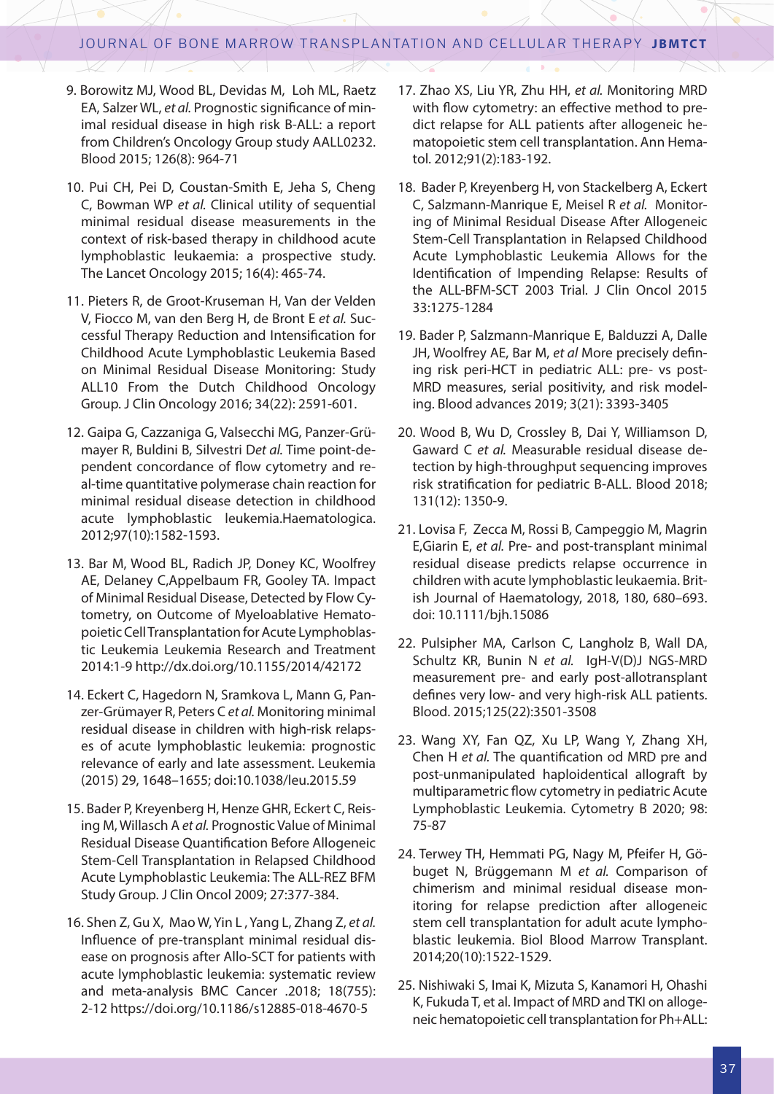- 9. Borowitz MJ, Wood BL, Devidas M, Loh ML, Raetz EA, Salzer WL, *et al.* Prognostic significance of minimal residual disease in high risk B-ALL: a report from Children's Oncology Group study AALL0232. Blood 2015; 126(8): 964-71
- 10. Pui CH, Pei D, Coustan-Smith E, Jeha S, Cheng C, Bowman WP *et al.* Clinical utility of sequential minimal residual disease measurements in the context of risk-based therapy in childhood acute lymphoblastic leukaemia: a prospective study. The Lancet Oncology 2015; 16(4): 465-74.
- 11. Pieters R, de Groot-Kruseman H, Van der Velden V, Fiocco M, van den Berg H, de Bront E *et al.* Successful Therapy Reduction and Intensification for Childhood Acute Lymphoblastic Leukemia Based on Minimal Residual Disease Monitoring: Study ALL10 From the Dutch Childhood Oncology Group. J Clin Oncology 2016; 34(22): 2591-601.
- 12. Gaipa G, Cazzaniga G, Valsecchi MG, Panzer-Grümayer R, Buldini B, Silvestri D*et al.* Time point-dependent concordance of flow cytometry and real-time quantitative polymerase chain reaction for minimal residual disease detection in childhood acute lymphoblastic leukemia.Haematologica. 2012;97(10):1582-1593.
- 13. Bar M, Wood BL, Radich JP, Doney KC, Woolfrey AE, Delaney C,Appelbaum FR, Gooley TA. Impact of Minimal Residual Disease, Detected by Flow Cytometry, on Outcome of Myeloablative Hematopoietic Cell Transplantation for Acute Lymphoblastic Leukemia Leukemia Research and Treatment 2014:1-9 http://dx.doi.org/10.1155/2014/42172
- 14. Eckert C, Hagedorn N, Sramkova L, Mann G, Panzer-Grümayer R, Peters C *et al.* Monitoring minimal residual disease in children with high-risk relapses of acute lymphoblastic leukemia: prognostic relevance of early and late assessment. Leukemia (2015) 29, 1648–1655; doi:10.1038/leu.2015.59
- 15. Bader P, Kreyenberg H, Henze GHR, Eckert C, Reising M, Willasch A *et al.* Prognostic Value of Minimal Residual Disease Quantification Before Allogeneic Stem-Cell Transplantation in Relapsed Childhood Acute Lymphoblastic Leukemia: The ALL-REZ BFM Study Group. J Clin Oncol 2009; 27:377-384.
- 16. Shen Z, Gu X, Mao W, Yin L , Yang L, Zhang Z, *et al.* Influence of pre-transplant minimal residual disease on prognosis after Allo-SCT for patients with acute lymphoblastic leukemia: systematic review and meta-analysis BMC Cancer .2018; 18(755): 2-12 https://doi.org/10.1186/s12885-018-4670-5
- 17. Zhao XS, Liu YR, Zhu HH, *et al.* Monitoring MRD with flow cytometry: an effective method to predict relapse for ALL patients after allogeneic hematopoietic stem cell transplantation. Ann Hematol. 2012;91(2):183-192.
- 18. Bader P, Kreyenberg H, von Stackelberg A, Eckert C, Salzmann-Manrique E, Meisel R *et al.* Monitoring of Minimal Residual Disease After Allogeneic Stem-Cell Transplantation in Relapsed Childhood Acute Lymphoblastic Leukemia Allows for the Identification of Impending Relapse: Results of the ALL-BFM-SCT 2003 Trial. J Clin Oncol 2015 33:1275-1284
- 19. Bader P, Salzmann-Manrique E, Balduzzi A, Dalle JH, Woolfrey AE, Bar M, *et al* More precisely defining risk peri-HCT in pediatric ALL: pre- vs post-MRD measures, serial positivity, and risk modeling. Blood advances 2019; 3(21): 3393-3405
- 20. Wood B, Wu D, Crossley B, Dai Y, Williamson D, Gaward C *et al.* Measurable residual disease detection by high-throughput sequencing improves risk stratification for pediatric B-ALL. Blood 2018; 131(12): 1350-9.
- 21. Lovisa F, Zecca M, Rossi B, Campeggio M, Magrin E,Giarin E, *et al.* Pre‐ and post‐transplant minimal residual disease predicts relapse occurrence in children with acute lymphoblastic leukaemia. British Journal of Haematology, 2018, 180, 680–693. doi: 10.1111/bjh.15086
- 22. Pulsipher MA, Carlson C, Langholz B, Wall DA, Schultz KR, Bunin N *et al.* IgH-V(D)J NGS-MRD measurement pre- and early post-allotransplant defines very low- and very high-risk ALL patients. Blood. 2015;125(22):3501-3508
- 23. Wang XY, Fan QZ, Xu LP, Wang Y, Zhang XH, Chen H *et al.* The quantification od MRD pre and post-unmanipulated haploidentical allograft by multiparametric flow cytometry in pediatric Acute Lymphoblastic Leukemia. Cytometry B 2020; 98: 75-87
- 24. Terwey TH, Hemmati PG, Nagy M, Pfeifer H, Göbuget N, Brüggemann M *et al.* Comparison of chimerism and minimal residual disease monitoring for relapse prediction after allogeneic stem cell transplantation for adult acute lymphoblastic leukemia. Biol Blood Marrow Transplant. 2014;20(10):1522-1529.
- 25. Nishiwaki S, Imai K, Mizuta S, Kanamori H, Ohashi K, Fukuda T, et al. Impact of MRD and TKI on allogeneic hematopoietic cell transplantation for Ph+ALL: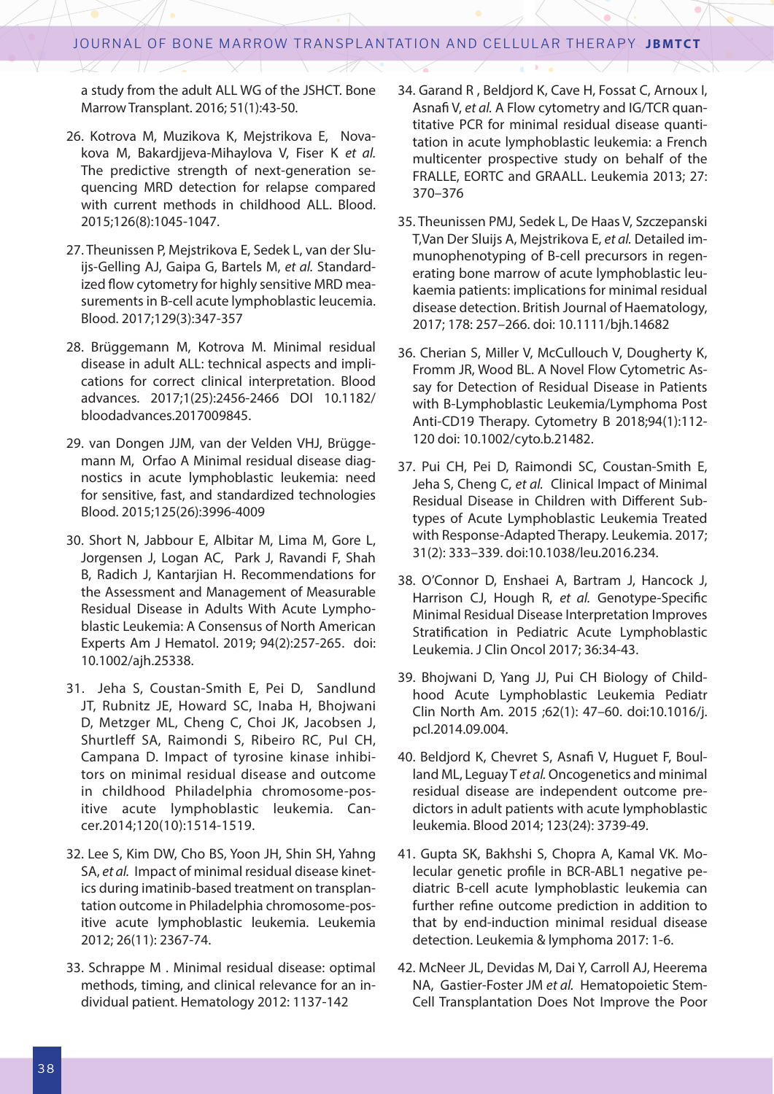a study from the adult ALL WG of the JSHCT. Bone Marrow Transplant. 2016; 51(1):43-50.

- 26. Kotrova M, Muzikova K, Mejstrikova E, Novakova M, Bakardjjeva-Mihaylova V, Fiser K *et al.* The predictive strength of next-generation sequencing MRD detection for relapse compared with current methods in childhood ALL. Blood. 2015;126(8):1045-1047.
- 27. Theunissen P, Mejstrikova E, Sedek L, van der Sluijs-Gelling AJ, Gaipa G, Bartels M, *et al.* Standardized flow cytometry for highly sensitive MRD measurements in B-cell acute lymphoblastic leucemia. Blood. 2017;129(3):347-357
- 28. Brüggemann M, Kotrova M. Minimal residual disease in adult ALL: technical aspects and implications for correct clinical interpretation. Blood advances. 2017;1(25):2456-2466 DOI 10.1182/ bloodadvances.2017009845.
- 29. van Dongen JJM, van der Velden VHJ, Brüggemann M, Orfao A Minimal residual disease diagnostics in acute lymphoblastic leukemia: need for sensitive, fast, and standardized technologies Blood. 2015;125(26):3996-4009
- 30. Short N, Jabbour E, Albitar M, Lima M, Gore L, Jorgensen J, Logan AC, Park J, Ravandi F, Shah B, Radich J, Kantarjian H. Recommendations for the Assessment and Management of Measurable Residual Disease in Adults With Acute Lymphoblastic Leukemia: A Consensus of North American Experts Am J Hematol. 2019; 94(2):257-265. doi: 10.1002/ajh.25338.
- 31. Jeha S, Coustan-Smith E, Pei D, Sandlund JT, Rubnitz JE, Howard SC, Inaba H, Bhojwani D, Metzger ML, Cheng C, Choi JK, Jacobsen J, Shurtleff SA, Raimondi S, Ribeiro RC, PuI CH, Campana D. Impact of tyrosine kinase inhibitors on minimal residual disease and outcome in childhood Philadelphia chromosome-positive acute lymphoblastic leukemia. Cancer.2014;120(10):1514-1519.
- 32. Lee S, Kim DW, Cho BS, Yoon JH, Shin SH, Yahng SA, *et al.* Impact of minimal residual disease kinetics during imatinib-based treatment on transplantation outcome in Philadelphia chromosome-positive acute lymphoblastic leukemia. Leukemia 2012; 26(11): 2367-74.
- 33. Schrappe M . Minimal residual disease: optimal methods, timing, and clinical relevance for an individual patient. Hematology 2012: 1137-142
- 34. Garand R , Beldjord K, Cave H, Fossat C, Arnoux I, Asnafi V, *et al.* A Flow cytometry and IG/TCR quantitative PCR for minimal residual disease quantitation in acute lymphoblastic leukemia: a French multicenter prospective study on behalf of the FRALLE, EORTC and GRAALL. Leukemia 2013; 27: 370–376
- 35. Theunissen PMJ, Sedek L, De Haas V, Szczepanski T,Van Der Sluijs A, Mejstrikova E, *et al.* Detailed immunophenotyping of B-cell precursors in regenerating bone marrow of acute lymphoblastic leukaemia patients: implications for minimal residual disease detection. British Journal of Haematology, 2017; 178: 257–266. doi: 10.1111/bjh.14682
- 36. Cherian S, Miller V, McCullouch V, Dougherty K, Fromm JR, Wood BL. A Novel Flow Cytometric Assay for Detection of Residual Disease in Patients with B-Lymphoblastic Leukemia/Lymphoma Post Anti-CD19 Therapy. Cytometry B 2018;94(1):112- 120 doi: 10.1002/cyto.b.21482.
- 37. Pui CH, Pei D, Raimondi SC, Coustan-Smith E, Jeha S, Cheng C, *et al.* Clinical Impact of Minimal Residual Disease in Children with Different Subtypes of Acute Lymphoblastic Leukemia Treated with Response-Adapted Therapy. Leukemia. 2017; 31(2): 333–339. doi:10.1038/leu.2016.234.
- 38. O'Connor D, Enshaei A, Bartram J, Hancock J, Harrison CJ, Hough R, *et al.* Genotype-Specific Minimal Residual Disease Interpretation Improves Stratification in Pediatric Acute Lymphoblastic Leukemia. J Clin Oncol 2017; 36:34-43.
- 39. Bhojwani D, Yang JJ, Pui CH Biology of Childhood Acute Lymphoblastic Leukemia Pediatr Clin North Am. 2015 ;62(1): 47–60. doi:10.1016/j. pcl.2014.09.004.
- 40. Beldjord K, Chevret S, Asnafi V, Huguet F, Boulland ML, Leguay T *et al.* Oncogenetics and minimal residual disease are independent outcome predictors in adult patients with acute lymphoblastic leukemia. Blood 2014; 123(24): 3739-49.
- 41. Gupta SK, Bakhshi S, Chopra A, Kamal VK. Molecular genetic profile in BCR-ABL1 negative pediatric B-cell acute lymphoblastic leukemia can further refine outcome prediction in addition to that by end-induction minimal residual disease detection. Leukemia & lymphoma 2017: 1-6.
- 42. McNeer JL, Devidas M, Dai Y, Carroll AJ, Heerema NA, Gastier-Foster JM *et al.* Hematopoietic Stem-Cell Transplantation Does Not Improve the Poor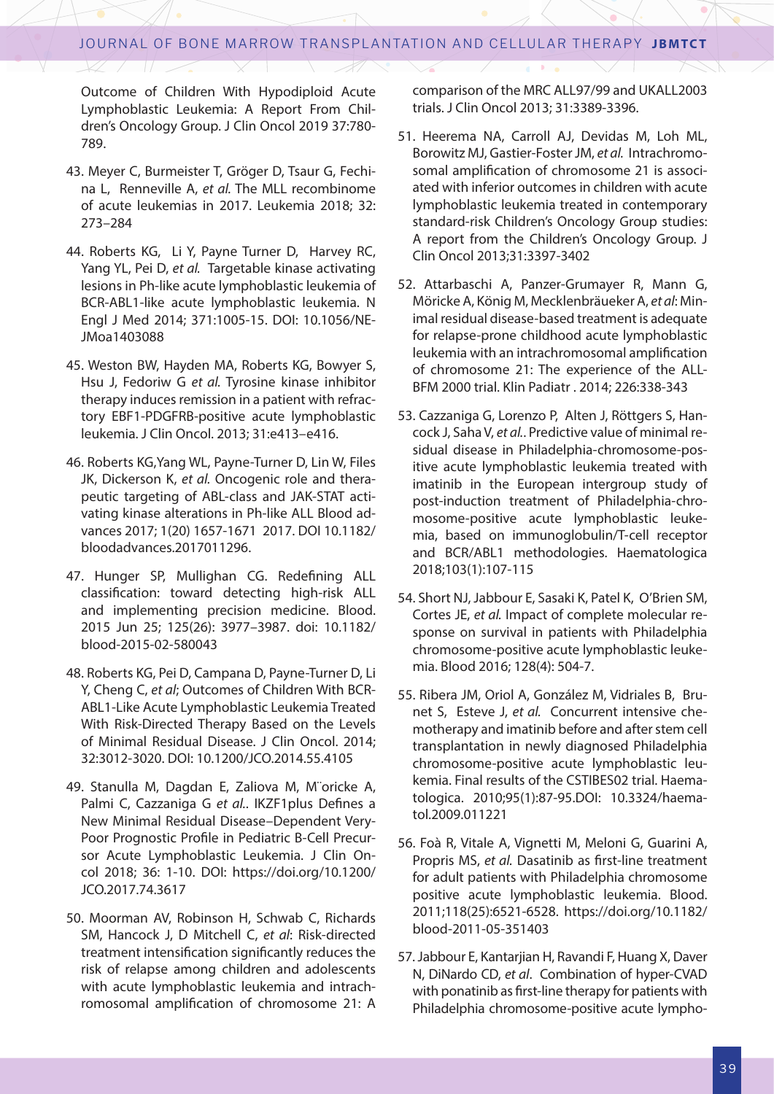Outcome of Children With Hypodiploid Acute Lymphoblastic Leukemia: A Report From Children's Oncology Group. J Clin Oncol 2019 37:780- 789.

- 43. Meyer C, Burmeister T, Gröger D, Tsaur G, Fechina L, Renneville A, *et al.* The MLL recombinome of acute leukemias in 2017. Leukemia 2018; 32: 273–284
- 44. Roberts KG, Li Y, Payne Turner D, Harvey RC, Yang YL, Pei D, *et al.* Targetable kinase activating lesions in Ph-like acute lymphoblastic leukemia of BCR-ABL1-like acute lymphoblastic leukemia. N Engl J Med 2014; 371:1005-15. DOI: 10.1056/NE-JMoa1403088
- 45. Weston BW, Hayden MA, Roberts KG, Bowyer S, Hsu J, Fedoriw G *et al.* Tyrosine kinase inhibitor therapy induces remission in a patient with refractory EBF1-PDGFRB-positive acute lymphoblastic leukemia. J Clin Oncol. 2013; 31:e413–e416.
- 46. Roberts KG,Yang WL, Payne-Turner D, Lin W, Files JK, Dickerson K, *et al.* Oncogenic role and therapeutic targeting of ABL-class and JAK-STAT activating kinase alterations in Ph-like ALL Blood advances 2017; 1(20) 1657-1671 2017. DOI 10.1182/ bloodadvances.2017011296.
- 47. Hunger SP, Mullighan CG. Redefining ALL classification: toward detecting high-risk ALL and implementing precision medicine. Blood. 2015 Jun 25; 125(26): 3977–3987. doi: 10.1182/ blood-2015-02-580043
- 48. Roberts KG, Pei D, Campana D, Payne-Turner D, Li Y, Cheng C, *et al*; Outcomes of Children With BCR-ABL1-Like Acute Lymphoblastic Leukemia Treated With Risk-Directed Therapy Based on the Levels of Minimal Residual Disease. J Clin Oncol. 2014; 32:3012-3020. DOI: 10.1200/JCO.2014.55.4105
- 49. Stanulla M, Dagdan E, Zaliova M, M¨oricke A, Palmi C, Cazzaniga G *et al.*. IKZF1plus Defines a New Minimal Residual Disease–Dependent Very-Poor Prognostic Profile in Pediatric B-Cell Precursor Acute Lymphoblastic Leukemia. J Clin Oncol 2018; 36: 1-10. DOI: https://doi.org/10.1200/ JCO.2017.74.3617
- 50. Moorman AV, Robinson H, Schwab C, Richards SM, Hancock J, D Mitchell C, *et al*: Risk-directed treatment intensification significantly reduces the risk of relapse among children and adolescents with acute lymphoblastic leukemia and intrachromosomal amplification of chromosome 21: A

comparison of the MRC ALL97/99 and UKALL2003 trials. J Clin Oncol 2013; 31:3389-3396.

- 51. Heerema NA, Carroll AJ, Devidas M, Loh ML, Borowitz MJ, Gastier-Foster JM, *et al.* Intrachromosomal amplification of chromosome 21 is associated with inferior outcomes in children with acute lymphoblastic leukemia treated in contemporary standard-risk Children's Oncology Group studies: A report from the Children's Oncology Group. J Clin Oncol 2013;31:3397-3402
- 52. Attarbaschi A, Panzer-Grumayer R, Mann G, Möricke A, König M, Mecklenbräueker A, *et al*: Minimal residual disease-based treatment is adequate for relapse-prone childhood acute lymphoblastic leukemia with an intrachromosomal amplification of chromosome 21: The experience of the ALL-BFM 2000 trial. Klin Padiatr . 2014; 226:338-343
- 53. Cazzaniga G, Lorenzo P, Alten J, Röttgers S, Hancock J, Saha V, *et al.*. Predictive value of minimal residual disease in Philadelphia-chromosome-positive acute lymphoblastic leukemia treated with imatinib in the European intergroup study of post-induction treatment of Philadelphia-chromosome-positive acute lymphoblastic leukemia, based on immunoglobulin/T-cell receptor and BCR/ABL1 methodologies. Haematologica 2018;103(1):107-115
- 54. Short NJ, Jabbour E, Sasaki K, Patel K, O'Brien SM, Cortes JE, *et al.* Impact of complete molecular response on survival in patients with Philadelphia chromosome-positive acute lymphoblastic leukemia. Blood 2016; 128(4): 504-7.
- 55. Ribera JM, Oriol A, González M, Vidriales B, Brunet S, Esteve J, *et al.* Concurrent intensive chemotherapy and imatinib before and after stem cell transplantation in newly diagnosed Philadelphia chromosome-positive acute lymphoblastic leukemia. Final results of the CSTIBES02 trial. Haematologica. 2010;95(1):87-95.DOI: 10.3324/haematol.2009.011221
- 56. Foà R, Vitale A, Vignetti M, Meloni G, Guarini A, Propris MS, *et al.* Dasatinib as first-line treatment for adult patients with Philadelphia chromosome positive acute lymphoblastic leukemia. Blood. 2011;118(25):6521-6528. https://doi.org/10.1182/ blood-2011-05-351403
- 57. Jabbour E, Kantarjian H, Ravandi F, Huang X, Daver N, DiNardo CD, *et al*. Combination of hyper-CVAD with ponatinib as first-line therapy for patients with Philadelphia chromosome-positive acute lympho-